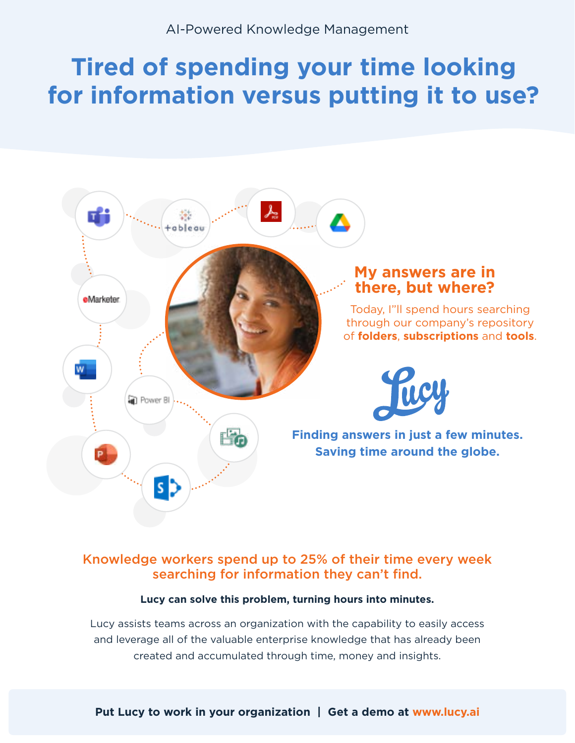# **Tired of spending your time looking for information versus putting it to use?**



# Knowledge workers spend up to 25% of their time every week searching for information they can't find.

# **Lucy can solve this problem, turning hours into minutes.**

Lucy assists teams across an organization with the capability to easily access and leverage all of the valuable enterprise knowledge that has already been created and accumulated through time, money and insights.